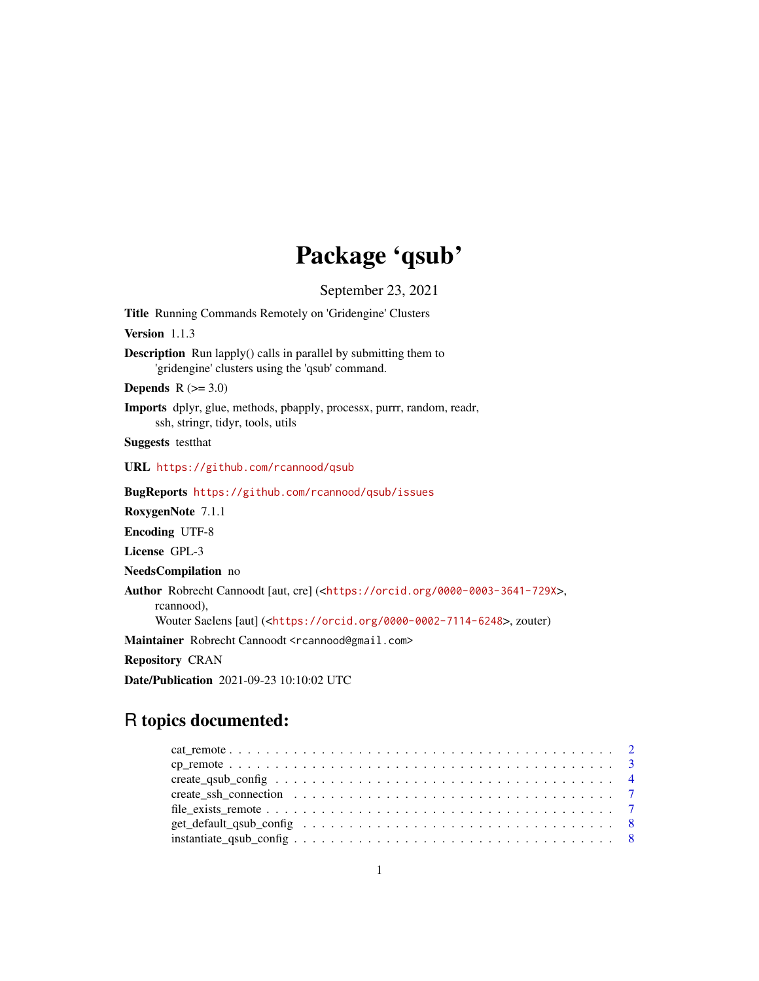# Package 'qsub'

September 23, 2021

Title Running Commands Remotely on 'Gridengine' Clusters

Version 1.1.3

Description Run lapply() calls in parallel by submitting them to 'gridengine' clusters using the 'qsub' command.

Depends  $R$  ( $>= 3.0$ )

Imports dplyr, glue, methods, pbapply, processx, purrr, random, readr, ssh, stringr, tidyr, tools, utils

Suggests testthat

URL <https://github.com/rcannood/qsub>

BugReports <https://github.com/rcannood/qsub/issues>

RoxygenNote 7.1.1

Encoding UTF-8

License GPL-3

NeedsCompilation no

Author Robrecht Cannoodt [aut, cre] (<<https://orcid.org/0000-0003-3641-729X>>, rcannood),

Wouter Saelens [aut] (<<https://orcid.org/0000-0002-7114-6248>>, zouter)

Maintainer Robrecht Cannoodt <rcannood@gmail.com>

Repository CRAN

Date/Publication 2021-09-23 10:10:02 UTC

# R topics documented: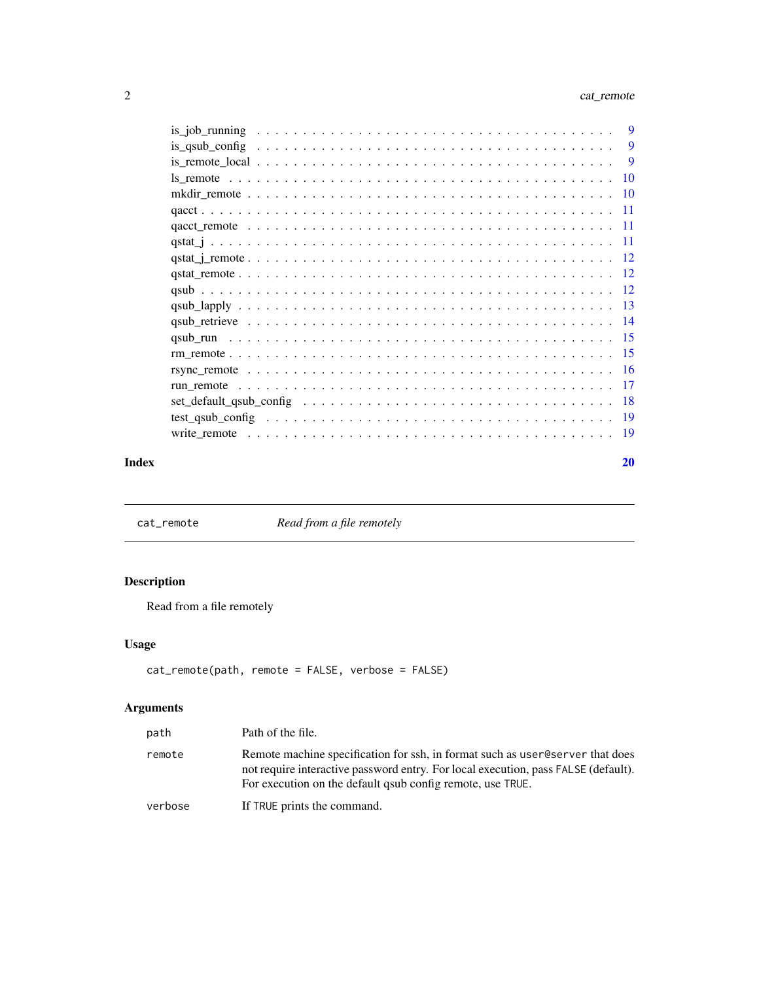<span id="page-1-0"></span>

|                                                                                                             | 9         |
|-------------------------------------------------------------------------------------------------------------|-----------|
| is qsub config $\ldots \ldots \ldots \ldots \ldots \ldots \ldots \ldots \ldots \ldots \ldots \ldots \ldots$ | 9         |
|                                                                                                             | -9        |
|                                                                                                             | <b>10</b> |
|                                                                                                             |           |
|                                                                                                             |           |
|                                                                                                             |           |
|                                                                                                             |           |
|                                                                                                             |           |
|                                                                                                             |           |
|                                                                                                             |           |
|                                                                                                             |           |
|                                                                                                             |           |
|                                                                                                             |           |
|                                                                                                             |           |
|                                                                                                             |           |
|                                                                                                             |           |
|                                                                                                             |           |
|                                                                                                             |           |
|                                                                                                             | -19       |
|                                                                                                             |           |

#### $\bf 1$ ndex  $\bf 20$  $\bf 20$

cat\_remote *Read from a file remotely*

# Description

Read from a file remotely

# Usage

```
cat_remote(path, remote = FALSE, verbose = FALSE)
```

| path    | Path of the file.                                                                                                                                                                                                                 |
|---------|-----------------------------------------------------------------------------------------------------------------------------------------------------------------------------------------------------------------------------------|
| remote  | Remote machine specification for ssh, in format such as user@server that does<br>not require interactive password entry. For local execution, pass FALSE (default).<br>For execution on the default gaub config remote, use TRUE. |
| verbose | If TRUE prints the command.                                                                                                                                                                                                       |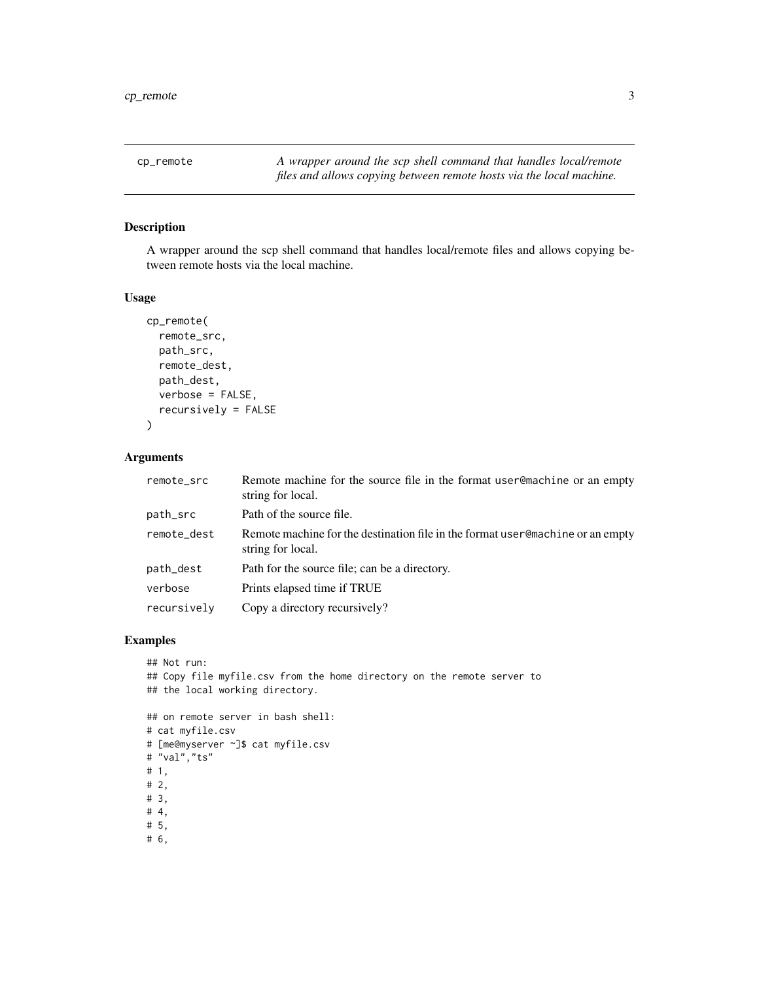<span id="page-2-0"></span>cp\_remote *A wrapper around the scp shell command that handles local/remote files and allows copying between remote hosts via the local machine.*

# Description

A wrapper around the scp shell command that handles local/remote files and allows copying between remote hosts via the local machine.

#### Usage

```
cp_remote(
  remote_src,
  path_src,
  remote_dest,
  path_dest,
  verbose = FALSE,
  recursively = FALSE
\mathcal{L}
```
# Arguments

| remote_src  | Remote machine for the source file in the format user@machine or an empty<br>string for local.       |
|-------------|------------------------------------------------------------------------------------------------------|
| path_src    | Path of the source file.                                                                             |
| remote_dest | Remote machine for the destination file in the format user @machine or an empty<br>string for local. |
| path_dest   | Path for the source file; can be a directory.                                                        |
| verbose     | Prints elapsed time if TRUE                                                                          |
| recursively | Copy a directory recursively?                                                                        |

```
## Not run:
## Copy file myfile.csv from the home directory on the remote server to
## the local working directory.
## on remote server in bash shell:
# cat myfile.csv
# [me@myserver ~]$ cat myfile.csv
# "val","ts"
# 1,
# 2,
# 3,
# 4,
# 5,
```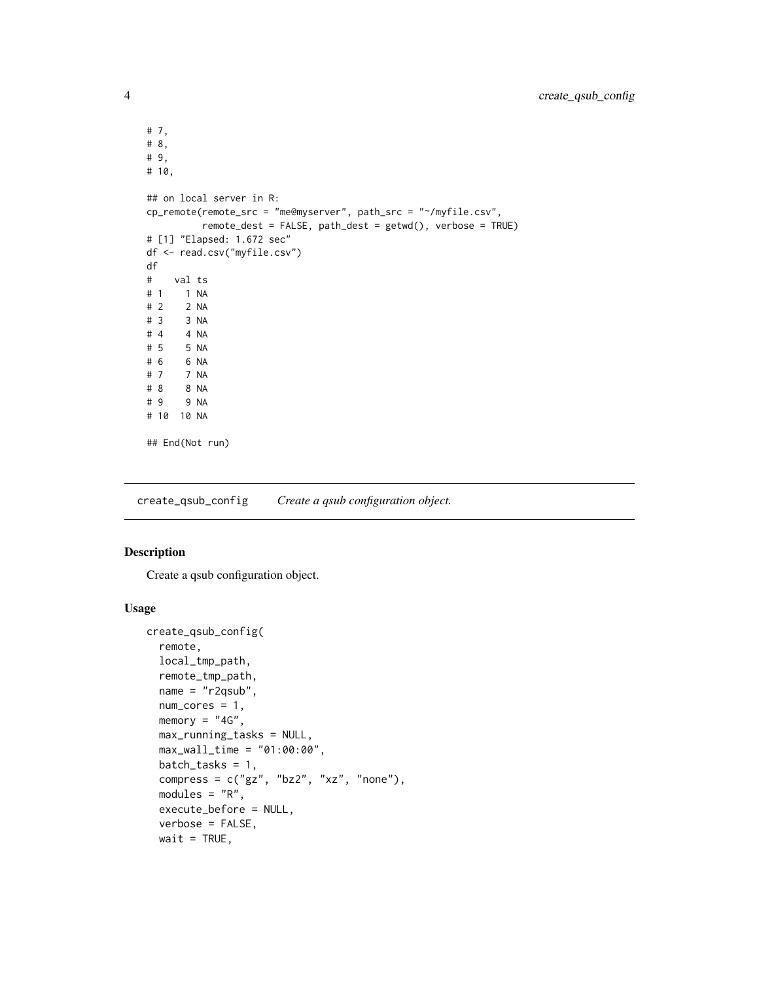```
# 7,
# 8,
# 9,
# 10,
## on local server in R:
cp_remote(remote_src = "me@myserver", path_src = "~/myfile.csv",
          remote_dest = FALSE, path_dest = getwd(), verbose = TRUE)
# [1] "Elapsed: 1.672 sec"
df <- read.csv("myfile.csv")
df
# val ts
# 1 1 NA
# 2 2 NA
# 3 3 NA
# 4 4 NA<br># 5 5 NA
      5 NA
# 6 6 NA<br># 7 7 NA
      # 7 7 NA
# 8 8 NA
# 9 9 NA
# 10 10 NA
## End(Not run)
```
<span id="page-3-1"></span>create\_qsub\_config *Create a qsub configuration object.*

# Description

Create a qsub configuration object.

#### Usage

```
create_qsub_config(
  remote,
 local_tmp_path,
  remote_tmp_path,
 name = "r2qsub",
  num\_cores = 1,
 memory = "4G",
 max_running_tasks = NULL,
 max_wall_time = "01:00:00",
  batch\_tasks = 1,
  compress = c("gz", "bz2", "xz", "none"),modules = "R",execute_before = NULL,
  verbose = FALSE,
 wait = TRUE,
```
<span id="page-3-0"></span>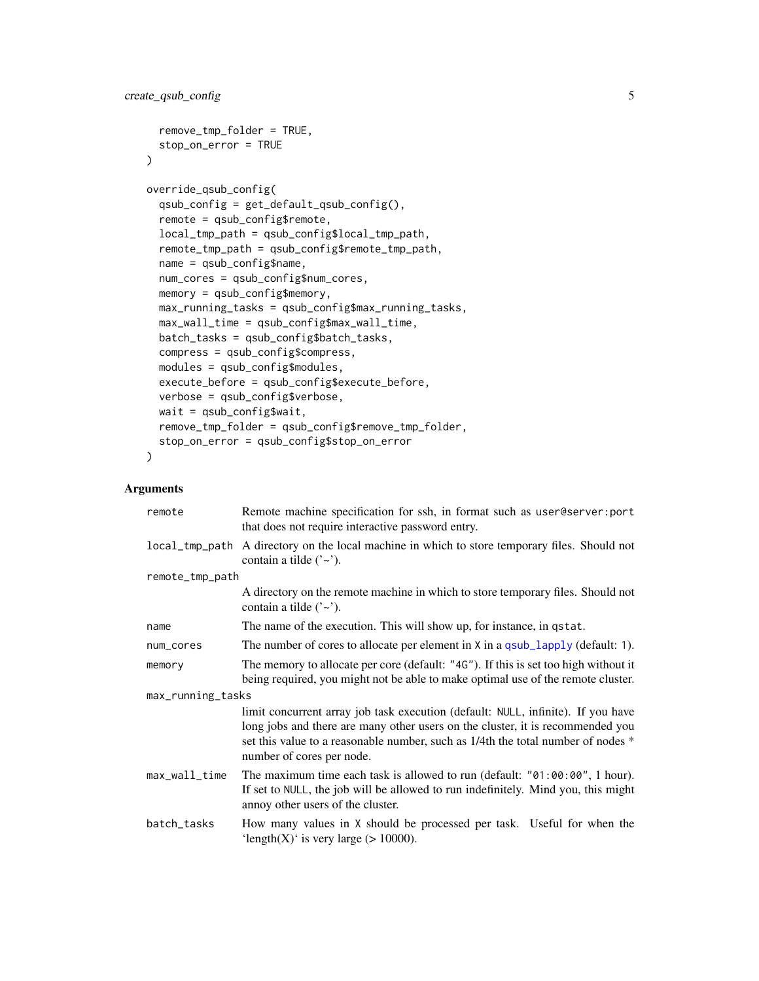```
remove_tmp_folder = TRUE,
 stop_on_error = TRUE
\lambdaoverride_qsub_config(
  qsub_config = get_default_qsub_config(),
  remote = qsub_config$remote,
  local_tmp_path = qsub_config$local_tmp_path,
  remote_tmp_path = qsub_config$remote_tmp_path,
 name = qsub_config$name,
 num_cores = qsub_config$num_cores,
 memory = qsub_config$memory,
 max_running_tasks = qsub_config$max_running_tasks,
 max_wall_time = qsub_config$max_wall_time,
 batch_tasks = qsub_config$batch_tasks,
  compress = qsub_config$compress,
 modules = qsub_config$modules,
 execute_before = qsub_config$execute_before,
  verbose = qsub_config$verbose,
 wait = qsub\_configwait,
  remove_tmp_folder = qsub_config$remove_tmp_folder,
  stop_on_error = qsub_config$stop_on_error
)
```

| remote            | Remote machine specification for ssh, in format such as user @server: port<br>that does not require interactive password entry.                                                                                                                                                     |  |
|-------------------|-------------------------------------------------------------------------------------------------------------------------------------------------------------------------------------------------------------------------------------------------------------------------------------|--|
| local_tmp_path    | A directory on the local machine in which to store temporary files. Should not<br>contain a tilde $('~)$ .                                                                                                                                                                          |  |
| remote_tmp_path   |                                                                                                                                                                                                                                                                                     |  |
|                   | A directory on the remote machine in which to store temporary files. Should not<br>contain a tilde $('~)$ .                                                                                                                                                                         |  |
| name              | The name of the execution. This will show up, for instance, in qstat.                                                                                                                                                                                                               |  |
| num_cores         | The number of cores to allocate per element in X in a qsub_lapply (default: 1).                                                                                                                                                                                                     |  |
| memory            | The memory to allocate per core (default: "4G"). If this is set too high without it<br>being required, you might not be able to make optimal use of the remote cluster.                                                                                                             |  |
| max_running_tasks |                                                                                                                                                                                                                                                                                     |  |
|                   | limit concurrent array job task execution (default: NULL, infinite). If you have<br>long jobs and there are many other users on the cluster, it is recommended you<br>set this value to a reasonable number, such as 1/4th the total number of nodes *<br>number of cores per node. |  |
| max_wall_time     | The maximum time each task is allowed to run (default: $"01:00:00", 1 hour$ ).<br>If set to NULL, the job will be allowed to run indefinitely. Mind you, this might<br>annoy other users of the cluster.                                                                            |  |
| batch_tasks       | How many values in X should be processed per task. Useful for when the<br>'length $(X)$ ' is very large (> 10000).                                                                                                                                                                  |  |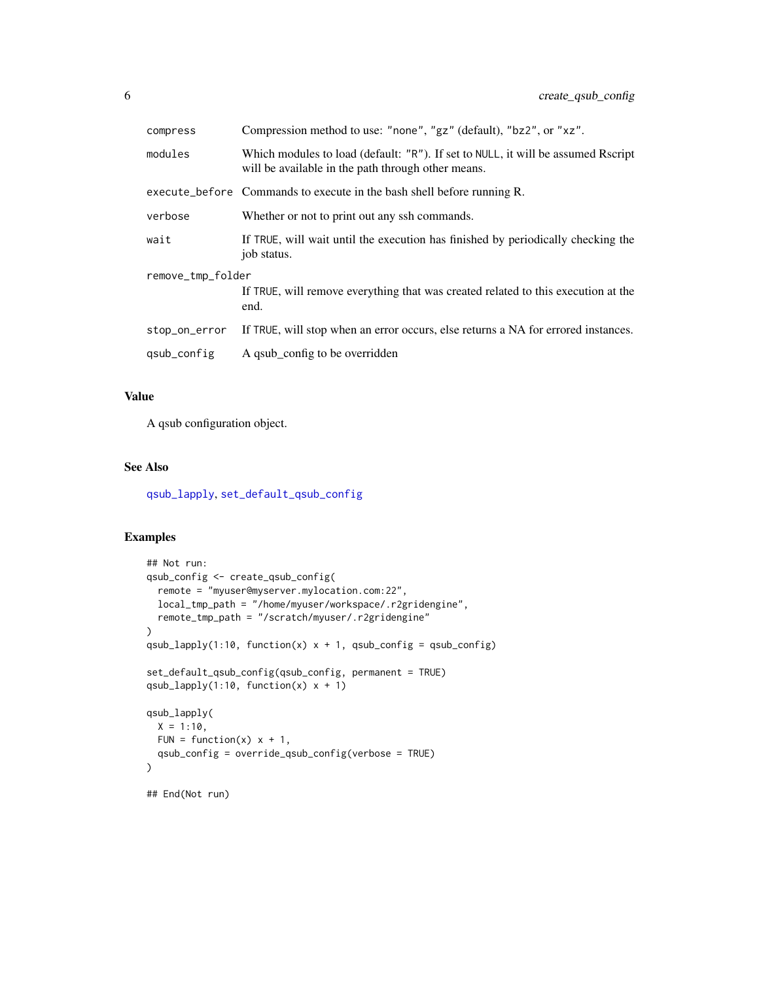<span id="page-5-0"></span>

| compress          | Compression method to use: "none", "gz" (default), "bz2", or "xz".                                                                     |  |
|-------------------|----------------------------------------------------------------------------------------------------------------------------------------|--|
| modules           | Which modules to load (default: "R"). If set to NULL, it will be assumed Rscript<br>will be available in the path through other means. |  |
|                   | execute_before Commands to execute in the bash shell before running R.                                                                 |  |
| verbose           | Whether or not to print out any ssh commands.                                                                                          |  |
| wait              | If TRUE, will wait until the execution has finished by periodically checking the<br>job status.                                        |  |
| remove_tmp_folder |                                                                                                                                        |  |
|                   | If TRUE, will remove everything that was created related to this execution at the<br>end.                                              |  |
| stop_on_error     | If TRUE, will stop when an error occurs, else returns a NA for errored instances.                                                      |  |
| qsub_config       | A qsub_config to be overridden                                                                                                         |  |

# Value

A qsub configuration object.

# See Also

[qsub\\_lapply](#page-12-1), [set\\_default\\_qsub\\_config](#page-17-1)

```
## Not run:
qsub_config <- create_qsub_config(
  remote = "myuser@myserver.mylocation.com:22",
  local_tmp_path = "/home/myuser/workspace/.r2gridengine",
  remote_tmp_path = "/scratch/myuser/.r2gridengine"
\lambdaqsub_lapply(1:10, function(x) x + 1, qsub_config = qsub_config)
set_default_qsub_config(qsub_config, permanent = TRUE)
qsub_lapply(1:10, function(x) x + 1)
qsub_lapply(
  X = 1:10,
  FUN = function(x) x + 1,
  qsub_config = override_qsub_config(verbose = TRUE)
)
## End(Not run)
```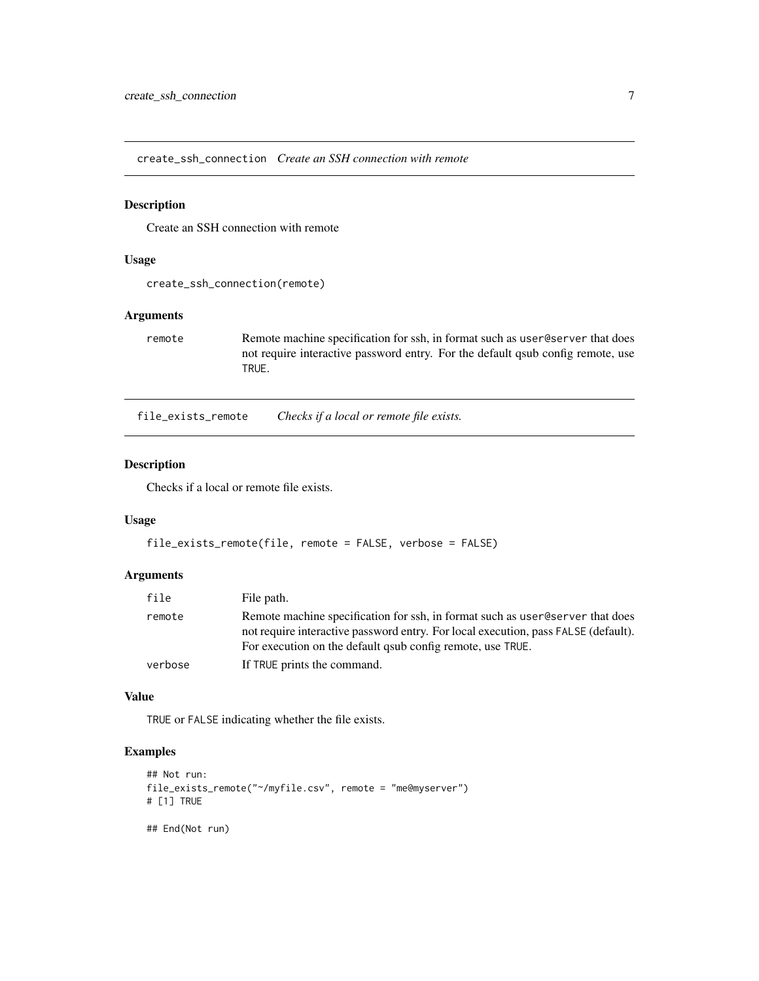<span id="page-6-0"></span>create\_ssh\_connection *Create an SSH connection with remote*

# Description

Create an SSH connection with remote

# Usage

```
create_ssh_connection(remote)
```
# Arguments

remote Remote machine specification for ssh, in format such as user@server that does not require interactive password entry. For the default qsub config remote, use TRUE.

file\_exists\_remote *Checks if a local or remote file exists.*

# Description

Checks if a local or remote file exists.

#### Usage

```
file_exists_remote(file, remote = FALSE, verbose = FALSE)
```
#### Arguments

| file    | File path.                                                                         |
|---------|------------------------------------------------------------------------------------|
| remote  | Remote machine specification for ssh, in format such as user eserver that does     |
|         | not require interactive password entry. For local execution, pass FALSE (default). |
|         | For execution on the default gaub config remote, use TRUE.                         |
| verbose | If TRUE prints the command.                                                        |

#### Value

TRUE or FALSE indicating whether the file exists.

# Examples

```
## Not run:
file_exists_remote("~/myfile.csv", remote = "me@myserver")
# [1] TRUE
```
## End(Not run)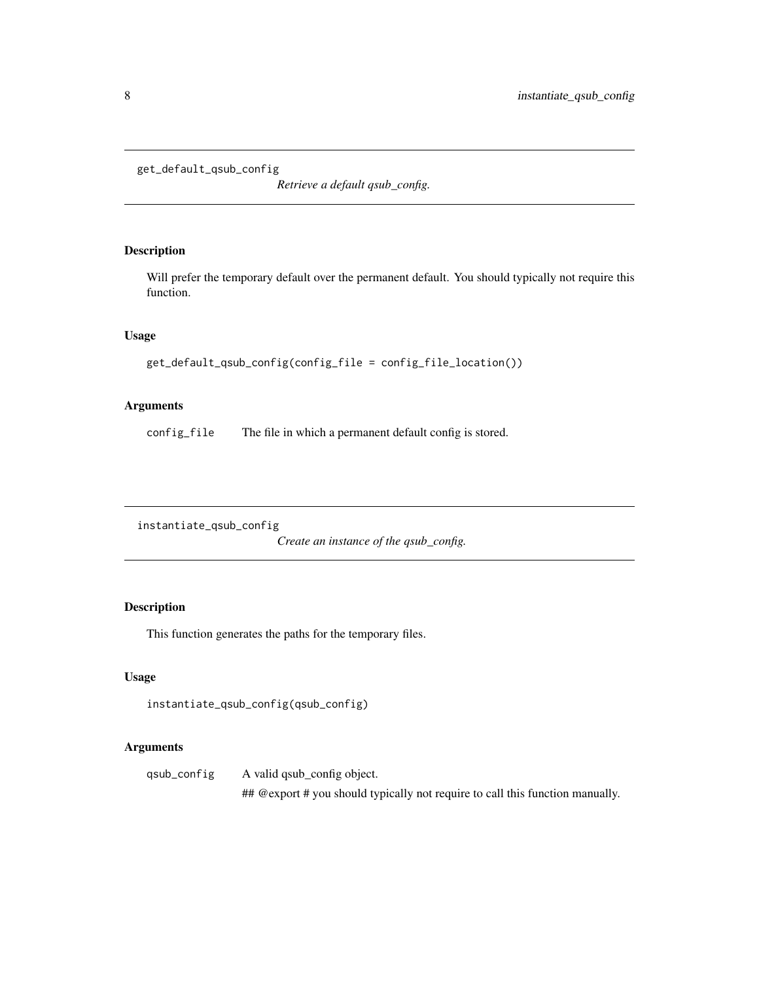```
get_default_qsub_config
```
*Retrieve a default qsub\_config.*

# Description

Will prefer the temporary default over the permanent default. You should typically not require this function.

#### Usage

```
get_default_qsub_config(config_file = config_file_location())
```
# Arguments

config\_file The file in which a permanent default config is stored.

instantiate\_qsub\_config

*Create an instance of the qsub\_config.*

# Description

This function generates the paths for the temporary files.

#### Usage

```
instantiate_qsub_config(qsub_config)
```
# Arguments

qsub\_config A valid qsub\_config object. ## @export # you should typically not require to call this function manually.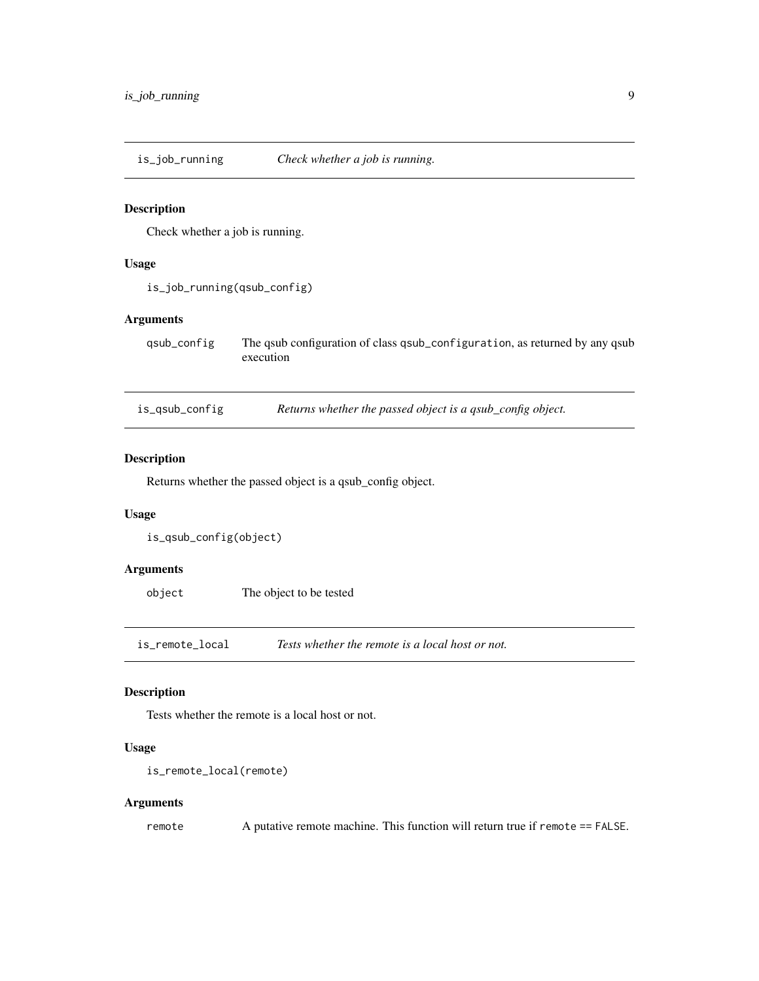<span id="page-8-0"></span>is\_job\_running *Check whether a job is running.*

#### Description

Check whether a job is running.

# Usage

is\_job\_running(qsub\_config)

## Arguments

qsub\_config The qsub configuration of class qsub\_configuration, as returned by any qsub execution

is\_qsub\_config *Returns whether the passed object is a qsub\_config object.*

# Description

Returns whether the passed object is a qsub\_config object.

## Usage

```
is_qsub_config(object)
```
# Arguments

object The object to be tested

is\_remote\_local *Tests whether the remote is a local host or not.*

### Description

Tests whether the remote is a local host or not.

#### Usage

```
is_remote_local(remote)
```
## Arguments

remote A putative remote machine. This function will return true if remote == FALSE.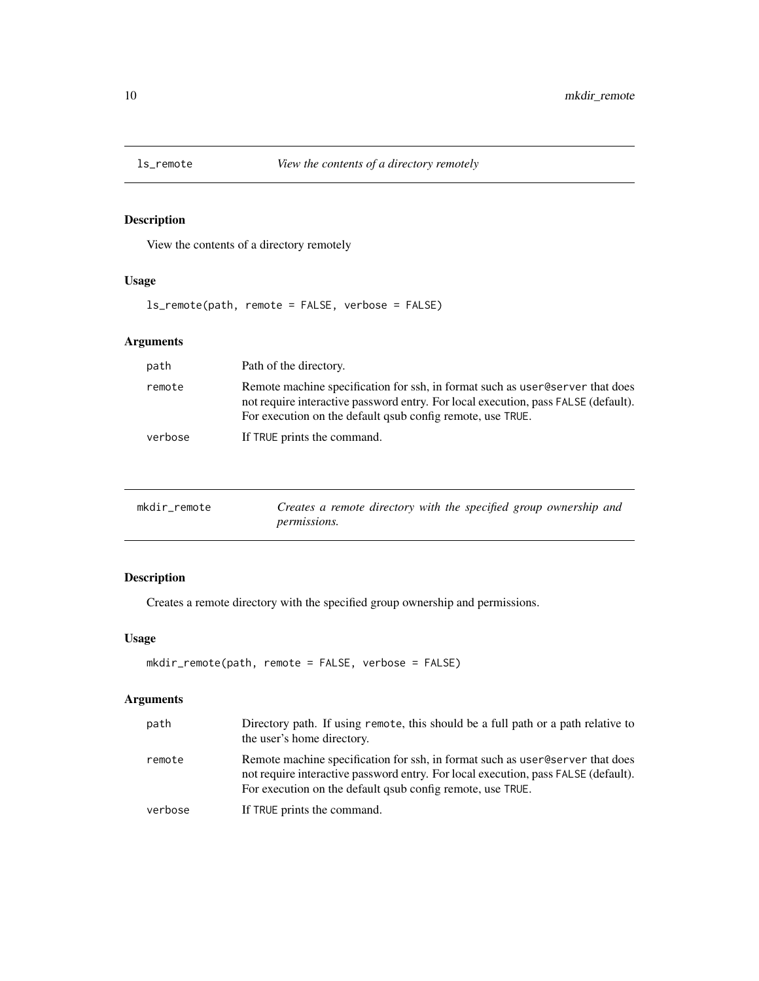<span id="page-9-0"></span>

View the contents of a directory remotely

# Usage

ls\_remote(path, remote = FALSE, verbose = FALSE)

# Arguments

| path    | Path of the directory.                                                                                                                                                                                                              |
|---------|-------------------------------------------------------------------------------------------------------------------------------------------------------------------------------------------------------------------------------------|
| remote  | Remote machine specification for ssh, in format such as user @eserver that does<br>not require interactive password entry. For local execution, pass FALSE (default).<br>For execution on the default gaub config remote, use TRUE. |
| verbose | If TRUE prints the command.                                                                                                                                                                                                         |

| mkdir remote | Creates a remote directory with the specified group ownership and |
|--------------|-------------------------------------------------------------------|
|              | <i>permissions.</i>                                               |

# Description

Creates a remote directory with the specified group ownership and permissions.

# Usage

```
mkdir_remote(path, remote = FALSE, verbose = FALSE)
```

| path    | Directory path. If using remote, this should be a full path or a path relative to<br>the user's home directory.                                                                                                                    |
|---------|------------------------------------------------------------------------------------------------------------------------------------------------------------------------------------------------------------------------------------|
| remote  | Remote machine specification for ssh, in format such as user eserver that does<br>not require interactive password entry. For local execution, pass FALSE (default).<br>For execution on the default gaub config remote, use TRUE. |
| verbose | If TRUE prints the command.                                                                                                                                                                                                        |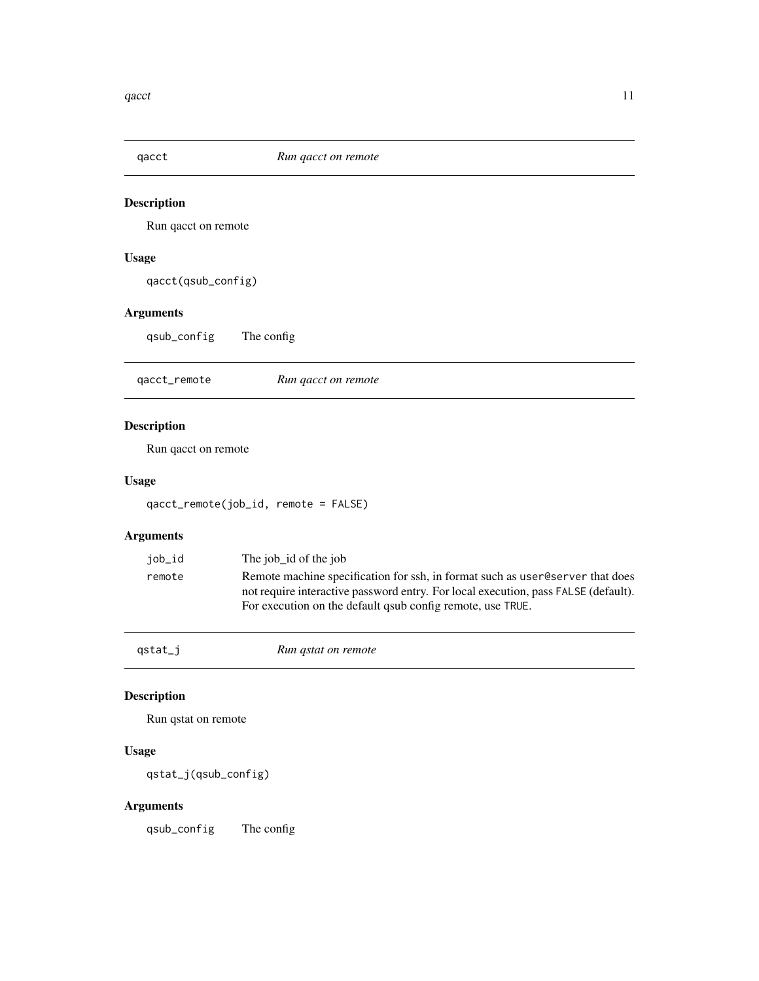<span id="page-10-0"></span>

Run qacct on remote

# Usage

qacct(qsub\_config)

# Arguments

qsub\_config The config

qacct\_remote *Run qacct on remote*

# Description

Run qacct on remote

# Usage

qacct\_remote(job\_id, remote = FALSE)

# Arguments

| job_id | The job id of the job                                                                                                                                                                                                              |
|--------|------------------------------------------------------------------------------------------------------------------------------------------------------------------------------------------------------------------------------------|
| remote | Remote machine specification for ssh, in format such as user eserver that does<br>not require interactive password entry. For local execution, pass FALSE (default).<br>For execution on the default qsub config remote, use TRUE. |

## qstat\_j *Run qstat on remote*

# Description

Run qstat on remote

#### Usage

qstat\_j(qsub\_config)

# Arguments

qsub\_config The config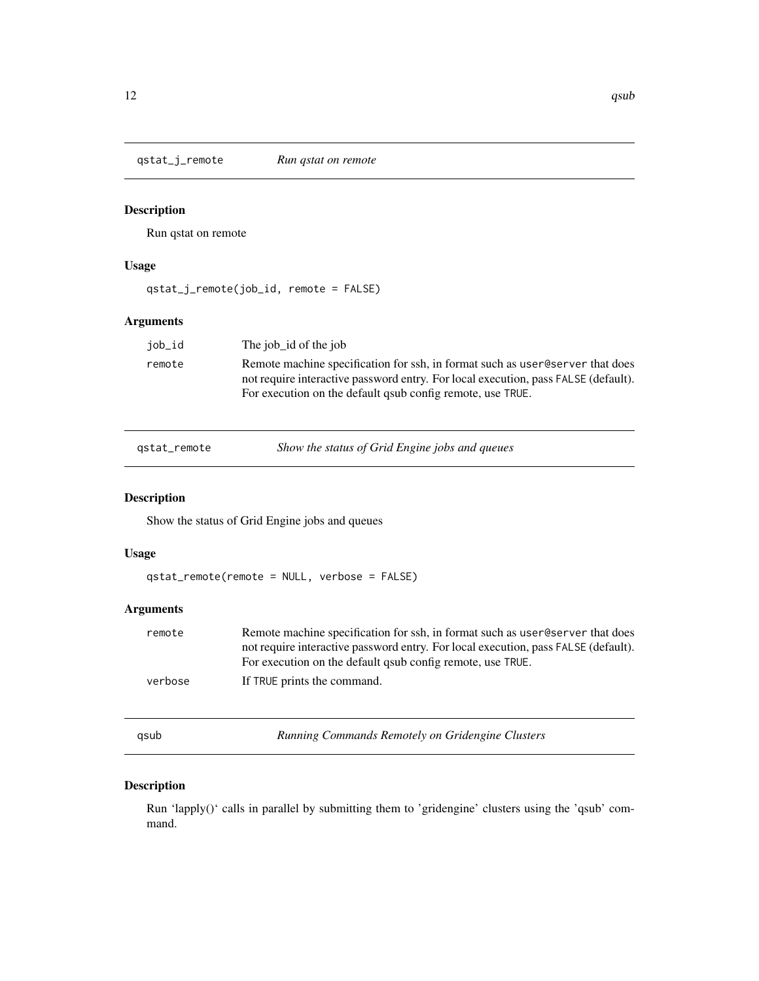<span id="page-11-0"></span>qstat\_j\_remote *Run qstat on remote*

# Description

Run qstat on remote

# Usage

qstat\_j\_remote(job\_id, remote = FALSE)

## Arguments

| iob_id | The job id of the job                                                                                                                                                                                                              |
|--------|------------------------------------------------------------------------------------------------------------------------------------------------------------------------------------------------------------------------------------|
| remote | Remote machine specification for ssh, in format such as user @server that does<br>not require interactive password entry. For local execution, pass FALSE (default).<br>For execution on the default qsub config remote, use TRUE. |
|        |                                                                                                                                                                                                                                    |

qstat\_remote *Show the status of Grid Engine jobs and queues*

## Description

Show the status of Grid Engine jobs and queues

# Usage

qstat\_remote(remote = NULL, verbose = FALSE)

# Arguments

| remote  | Remote machine specification for ssh, in format such as user @eserver that does    |
|---------|------------------------------------------------------------------------------------|
|         | not require interactive password entry. For local execution, pass FALSE (default). |
|         | For execution on the default gaub config remote, use TRUE.                         |
| verbose | If TRUE prints the command.                                                        |
|         |                                                                                    |

qsub *Running Commands Remotely on Gridengine Clusters*

# Description

Run 'lapply()' calls in parallel by submitting them to 'gridengine' clusters using the 'qsub' command.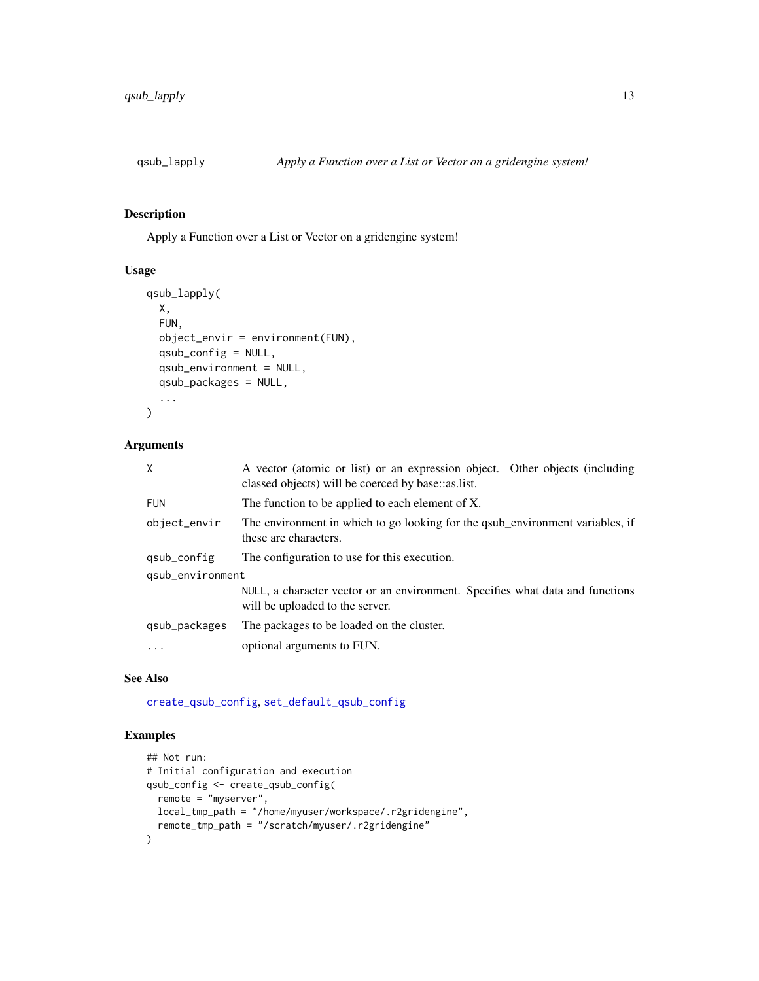<span id="page-12-1"></span><span id="page-12-0"></span>

Apply a Function over a List or Vector on a gridengine system!

# Usage

```
qsub_lapply(
 X,
 FUN,
 object_envir = environment(FUN),
  qsub_config = NULL,
 qsub_environment = NULL,
 qsub_packages = NULL,
  ...
)
```
# Arguments

| Χ                | A vector (atomic or list) or an expression object. Other objects (including<br>classed objects) will be coerced by base::as.list. |
|------------------|-----------------------------------------------------------------------------------------------------------------------------------|
| <b>FUN</b>       | The function to be applied to each element of X.                                                                                  |
| object_envir     | The environment in which to go looking for the qsub_environment variables, if<br>these are characters.                            |
| qsub_config      | The configuration to use for this execution.                                                                                      |
| qsub_environment |                                                                                                                                   |
|                  | NULL, a character vector or an environment. Specifies what data and functions<br>will be uploaded to the server.                  |
| qsub_packages    | The packages to be loaded on the cluster.                                                                                         |
| $\ddots$         | optional arguments to FUN.                                                                                                        |

## See Also

[create\\_qsub\\_config](#page-3-1), [set\\_default\\_qsub\\_config](#page-17-1)

```
## Not run:
# Initial configuration and execution
qsub_config <- create_qsub_config(
 remote = "myserver",
 local_tmp_path = "/home/myuser/workspace/.r2gridengine",
  remote_tmp_path = "/scratch/myuser/.r2gridengine"
\mathcal{L}
```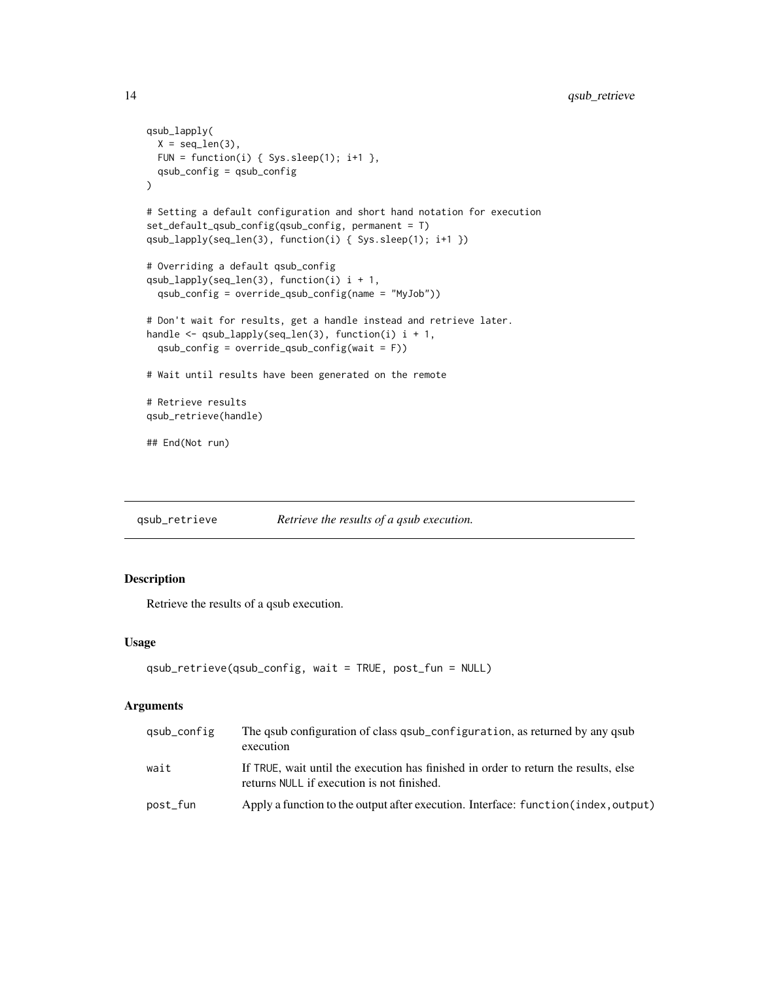```
qsub_lapply(
  X = seq\_len(3),
  FUN = function(i) { Sys.sleep(1); i+1 },
  qsub_config = qsub_config
\mathcal{L}# Setting a default configuration and short hand notation for execution
set_default_qsub_config(qsub_config, permanent = T)
qsub_lapply(seq_len(3), function(i) { Sys.sleep(1); i+1 })
# Overriding a default qsub_config
qsub_lapply(seq_len(3), function(i) i + 1,
  qsub_config = override_qsub_config(name = "MyJob"))
# Don't wait for results, get a handle instead and retrieve later.
handle <- qsub_lapply(seq_len(3), function(i) i + 1,
  qsub_config = override_qsub_config(wait = F))
# Wait until results have been generated on the remote
# Retrieve results
qsub_retrieve(handle)
## End(Not run)
```
qsub\_retrieve *Retrieve the results of a qsub execution.*

# Description

Retrieve the results of a qsub execution.

#### Usage

```
qsub_retrieve(qsub_config, wait = TRUE, post_fun = NULL)
```

| gsub_config | The qsub configuration of class qsub_configuration, as returned by any qsub<br>execution                                          |
|-------------|-----------------------------------------------------------------------------------------------------------------------------------|
| wait        | If TRUE, wait until the execution has finished in order to return the results, else<br>returns NULL if execution is not finished. |
| post_fun    | Apply a function to the output after execution. Interface: function (index, output)                                               |

<span id="page-13-0"></span>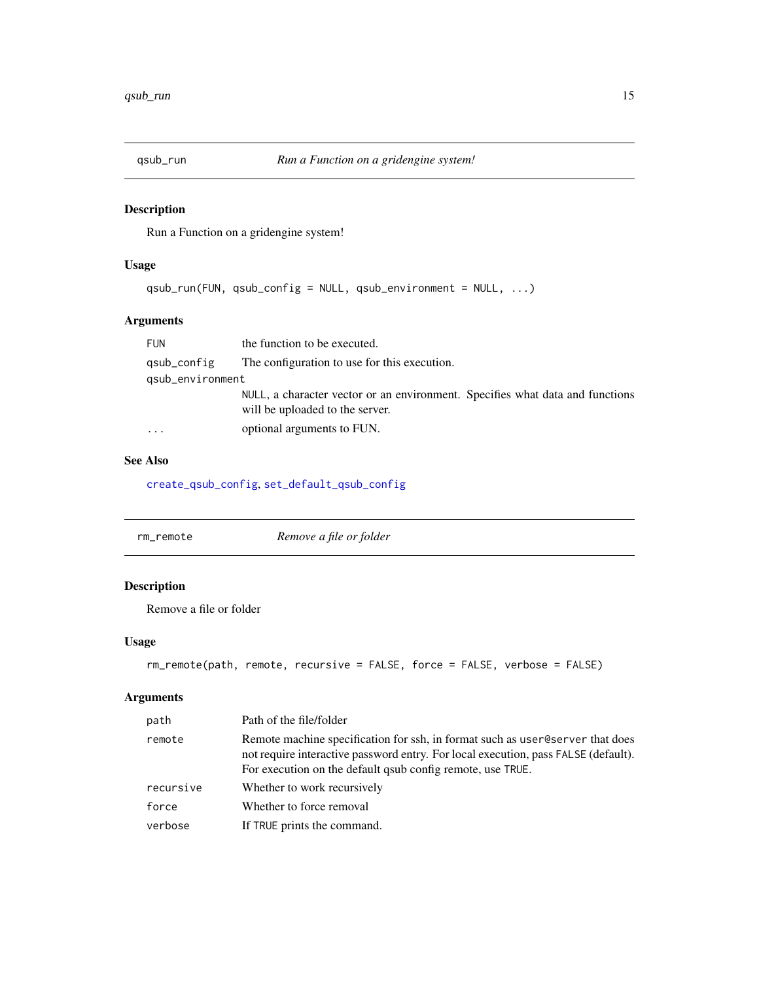<span id="page-14-0"></span>

Run a Function on a gridengine system!

# Usage

```
qsub_run(FUN, qsub_config = NULL, qsub_environment = NULL, ...)
```
# Arguments

| <b>FUN</b>       | the function to be executed.                                                                                     |
|------------------|------------------------------------------------------------------------------------------------------------------|
| qsub_config      | The configuration to use for this execution.                                                                     |
| gsub_environment |                                                                                                                  |
|                  | NULL, a character vector or an environment. Specifies what data and functions<br>will be uploaded to the server. |
|                  | optional arguments to FUN.                                                                                       |

# See Also

[create\\_qsub\\_config](#page-3-1), [set\\_default\\_qsub\\_config](#page-17-1)

| Remove a file or folder<br>rm remote |
|--------------------------------------|
|--------------------------------------|

# Description

Remove a file or folder

# Usage

```
rm_remote(path, remote, recursive = FALSE, force = FALSE, verbose = FALSE)
```

| path      | Path of the file/folder                                                                                                                                                                                                             |
|-----------|-------------------------------------------------------------------------------------------------------------------------------------------------------------------------------------------------------------------------------------|
| remote    | Remote machine specification for ssh, in format such as user @eserver that does<br>not require interactive password entry. For local execution, pass FALSE (default).<br>For execution on the default qsub config remote, use TRUE. |
| recursive | Whether to work recursively                                                                                                                                                                                                         |
| force     | Whether to force removal                                                                                                                                                                                                            |
| verbose   | If TRUE prints the command.                                                                                                                                                                                                         |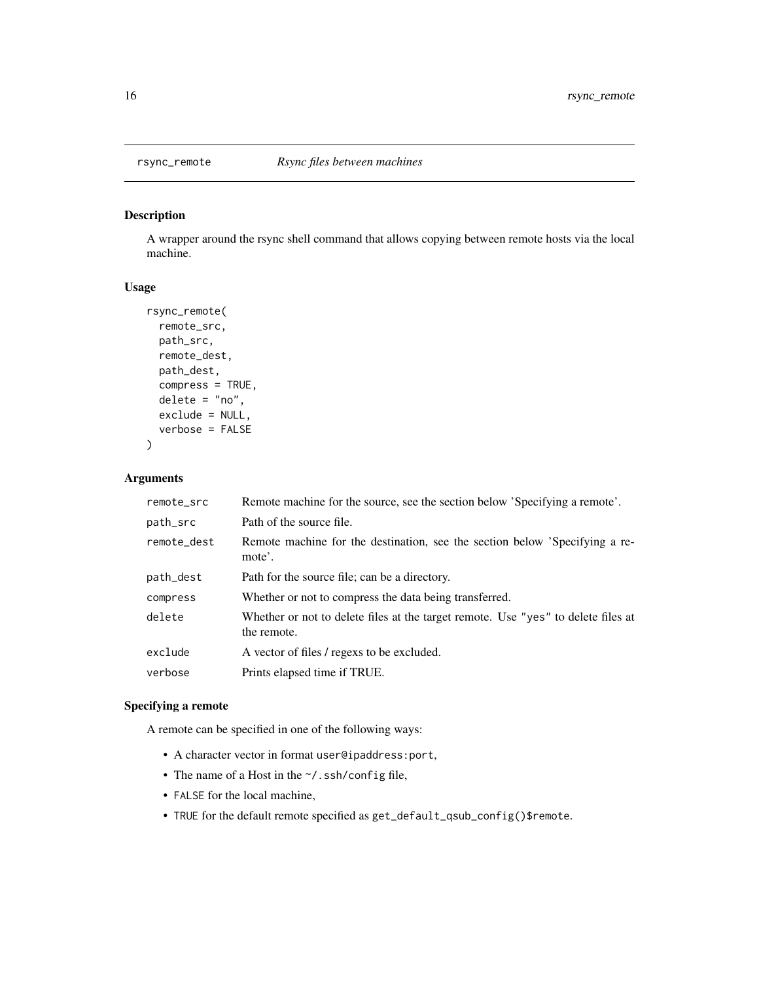<span id="page-15-0"></span>

A wrapper around the rsync shell command that allows copying between remote hosts via the local machine.

# Usage

```
rsync_remote(
  remote_src,
 path_src,
 remote_dest,
 path_dest,
  compress = TRUE,
  delete = "no",
  exclude = NULL,
  verbose = FALSE
)
```
# Arguments

| remote_src  | Remote machine for the source, see the section below 'Specifying a remote'.                      |
|-------------|--------------------------------------------------------------------------------------------------|
| path_src    | Path of the source file.                                                                         |
| remote_dest | Remote machine for the destination, see the section below 'Specifying a re-<br>mote'.            |
| path_dest   | Path for the source file; can be a directory.                                                    |
| compress    | Whether or not to compress the data being transferred.                                           |
| delete      | Whether or not to delete files at the target remote. Use "yes" to delete files at<br>the remote. |
| exclude     | A vector of files / regexs to be excluded.                                                       |
| verbose     | Prints elapsed time if TRUE.                                                                     |

# Specifying a remote

A remote can be specified in one of the following ways:

- A character vector in format user@ipaddress:port,
- The name of a Host in the ~/.ssh/config file,
- FALSE for the local machine,
- TRUE for the default remote specified as get\_default\_qsub\_config()\$remote.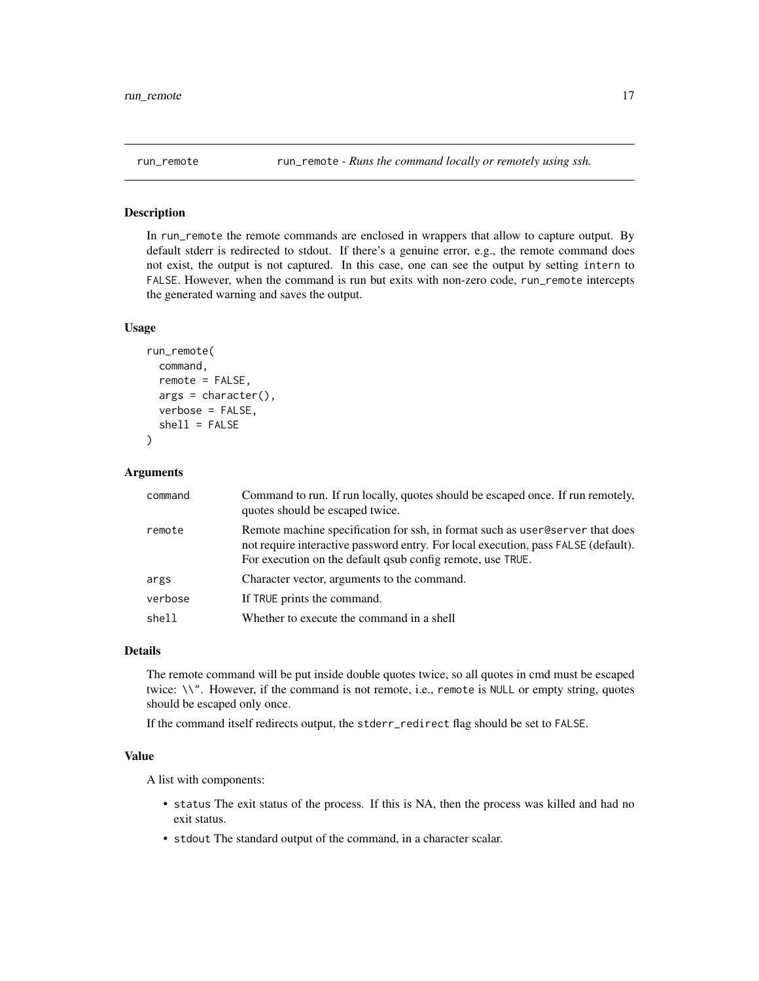<span id="page-16-0"></span>

In run\_remote the remote commands are enclosed in wrappers that allow to capture output. By default stderr is redirected to stdout. If there's a genuine error, e.g., the remote command does not exist, the output is not captured. In this case, one can see the output by setting intern to FALSE. However, when the command is run but exits with non-zero code, run\_remote intercepts the generated warning and saves the output.

# Usage

```
run_remote(
  command,
  remote = FALSE,
  args = character(),verbose = FALSE,
  shell = FALSE)
```
#### Arguments

| command | Command to run. If run locally, quotes should be escaped once. If run remotely,<br>quotes should be escaped twice.                                                                                                                 |
|---------|------------------------------------------------------------------------------------------------------------------------------------------------------------------------------------------------------------------------------------|
| remote  | Remote machine specification for ssh, in format such as user @server that does<br>not require interactive password entry. For local execution, pass FALSE (default).<br>For execution on the default qsub config remote, use TRUE. |
| args    | Character vector, arguments to the command.                                                                                                                                                                                        |
| verbose | If TRUE prints the command.                                                                                                                                                                                                        |
| shell   | Whether to execute the command in a shell                                                                                                                                                                                          |

#### Details

The remote command will be put inside double quotes twice, so all quotes in cmd must be escaped twice: \\". However, if the command is not remote, i.e., remote is NULL or empty string, quotes should be escaped only once.

If the command itself redirects output, the stderr\_redirect flag should be set to FALSE.

## Value

A list with components:

- status The exit status of the process. If this is NA, then the process was killed and had no exit status.
- stdout The standard output of the command, in a character scalar.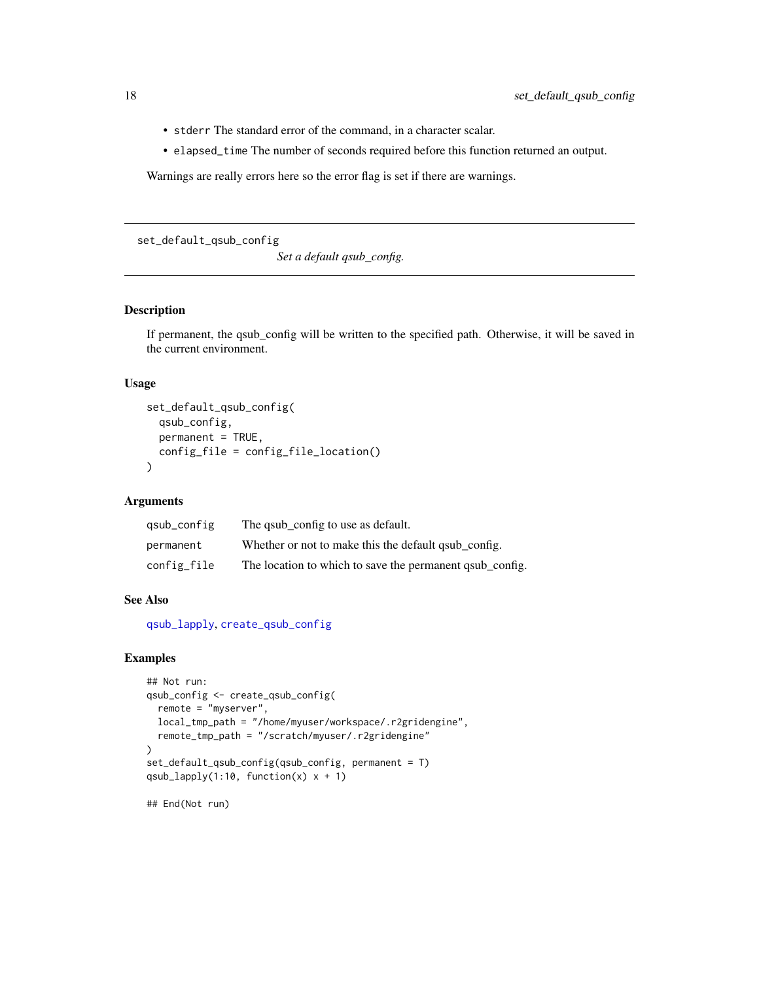- stderr The standard error of the command, in a character scalar.
- elapsed\_time The number of seconds required before this function returned an output.

Warnings are really errors here so the error flag is set if there are warnings.

<span id="page-17-1"></span>set\_default\_qsub\_config

*Set a default qsub\_config.*

#### Description

If permanent, the qsub\_config will be written to the specified path. Otherwise, it will be saved in the current environment.

# Usage

```
set_default_qsub_config(
  qsub_config,
 permanent = TRUE,
 config_file = config_file_location()
)
```
#### Arguments

| qsub_config | The qsub_config to use as default.                          |
|-------------|-------------------------------------------------------------|
| permanent   | Whether or not to make this the default q sub config.       |
| config_file | The location to which to save the permanent quality config. |

# See Also

[qsub\\_lapply](#page-12-1), [create\\_qsub\\_config](#page-3-1)

```
## Not run:
qsub_config <- create_qsub_config(
 remote = "myserver",
 local_tmp_path = "/home/myuser/workspace/.r2gridengine",
 remote_tmp_path = "/scratch/myuser/.r2gridengine"
\lambdaset_default_qsub_config(qsub_config, permanent = T)
qsub_lapply(1:10, function(x) x + 1)
## End(Not run)
```
<span id="page-17-0"></span>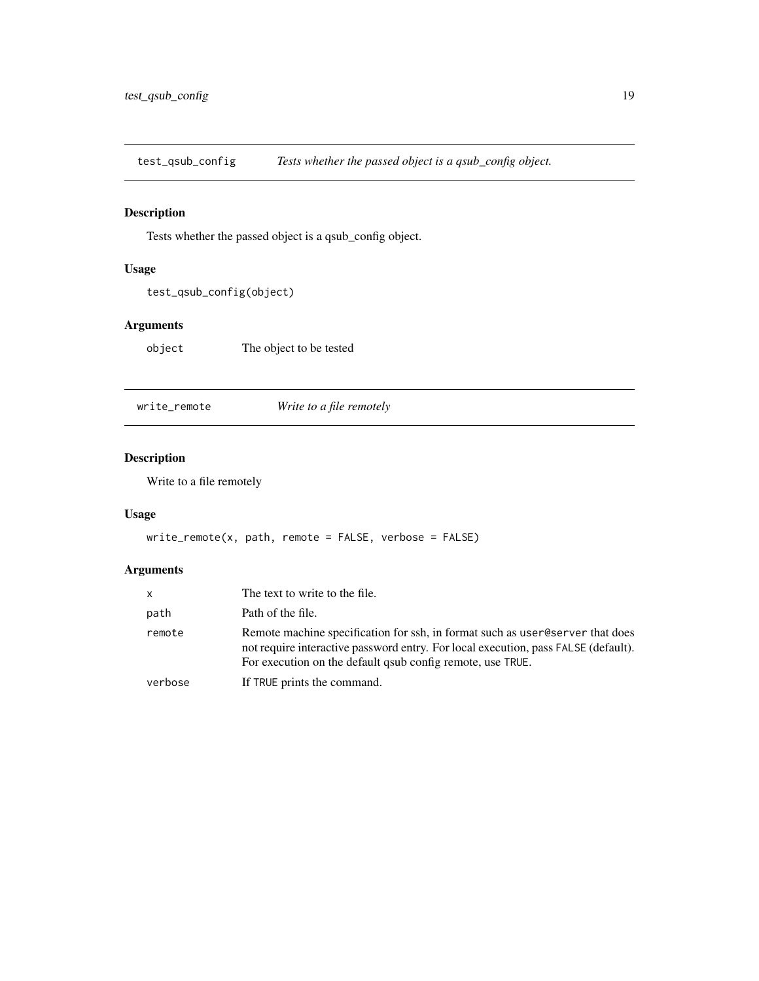<span id="page-18-0"></span>test\_qsub\_config *Tests whether the passed object is a qsub\_config object.*

# Description

Tests whether the passed object is a qsub\_config object.

# Usage

```
test_qsub_config(object)
```
# Arguments

object The object to be tested

write\_remote *Write to a file remotely*

# Description

Write to a file remotely

# Usage

```
write_remote(x, path, remote = FALSE, verbose = FALSE)
```

| x.      | The text to write to the file.                                                                                                                                                                                                    |
|---------|-----------------------------------------------------------------------------------------------------------------------------------------------------------------------------------------------------------------------------------|
| path    | Path of the file.                                                                                                                                                                                                                 |
| remote  | Remote machine specification for ssh, in format such as user @erver that does<br>not require interactive password entry. For local execution, pass FALSE (default).<br>For execution on the default gaub config remote, use TRUE. |
| verbose | If TRUE prints the command.                                                                                                                                                                                                       |